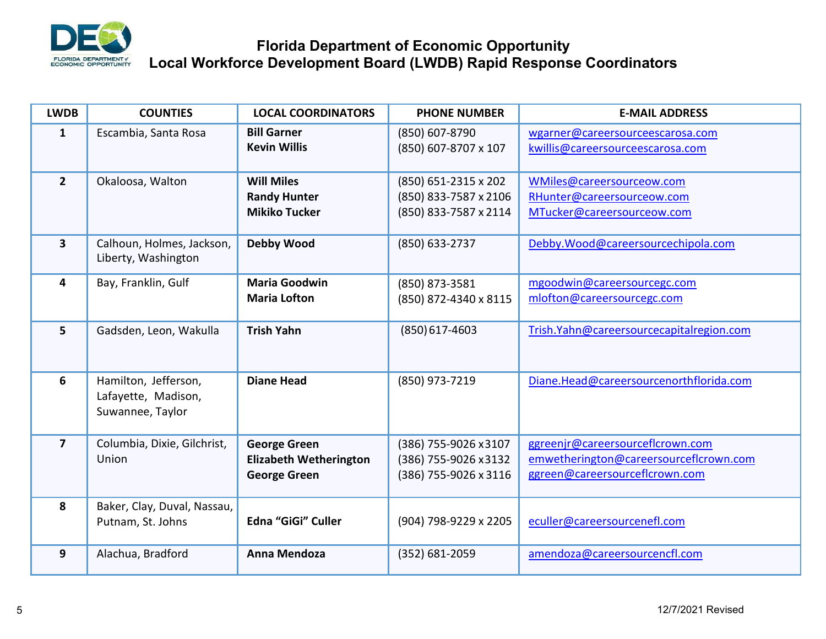

## **Florida Department of Economic Opportunity Local Workforce Development Board (LWDB) Rapid Response Coordinators**

| <b>LWDB</b>             | <b>COUNTIES</b>                                                 | <b>LOCAL COORDINATORS</b>                                                   | <b>PHONE NUMBER</b>                                                    | <b>E-MAIL ADDRESS</b>                                                                                        |
|-------------------------|-----------------------------------------------------------------|-----------------------------------------------------------------------------|------------------------------------------------------------------------|--------------------------------------------------------------------------------------------------------------|
| $\mathbf{1}$            | Escambia, Santa Rosa                                            | <b>Bill Garner</b><br><b>Kevin Willis</b>                                   | (850) 607-8790<br>(850) 607-8707 x 107                                 | wgarner@careersourceescarosa.com<br>kwillis@careersourceescarosa.com                                         |
| $\overline{2}$          | Okaloosa, Walton                                                | <b>Will Miles</b><br><b>Randy Hunter</b><br><b>Mikiko Tucker</b>            | (850) 651-2315 x 202<br>(850) 833-7587 x 2106<br>(850) 833-7587 x 2114 | WMiles@careersourceow.com<br>RHunter@careersourceow.com<br>MTucker@careersourceow.com                        |
| $\overline{\mathbf{3}}$ | Calhoun, Holmes, Jackson,<br>Liberty, Washington                | <b>Debby Wood</b>                                                           | (850) 633-2737                                                         | Debby.Wood@careersourcechipola.com                                                                           |
| 4                       | Bay, Franklin, Gulf                                             | <b>Maria Goodwin</b><br><b>Maria Lofton</b>                                 | (850) 873-3581<br>(850) 872-4340 x 8115                                | mgoodwin@careersourcegc.com<br>mlofton@careersourcegc.com                                                    |
| 5                       | Gadsden, Leon, Wakulla                                          | <b>Trish Yahn</b>                                                           | $(850)$ 617-4603                                                       | Trish.Yahn@careersourcecapitalregion.com                                                                     |
| 6                       | Hamilton, Jefferson,<br>Lafayette, Madison,<br>Suwannee, Taylor | <b>Diane Head</b>                                                           | (850) 973-7219                                                         | Diane.Head@careersourcenorthflorida.com                                                                      |
| $\overline{7}$          | Columbia, Dixie, Gilchrist,<br>Union                            | <b>George Green</b><br><b>Elizabeth Wetherington</b><br><b>George Green</b> | (386) 755-9026 x3107<br>(386) 755-9026 x 3132<br>(386) 755-9026 x 3116 | ggreenjr@careersourceflcrown.com<br>emwetherington@careersourceflcrown.com<br>ggreen@careersourceflcrown.com |
| 8                       | Baker, Clay, Duval, Nassau,<br>Putnam, St. Johns                | Edna "GiGi" Culler                                                          | (904) 798-9229 x 2205                                                  | eculler@careersourcenefl.com                                                                                 |
| 9                       | Alachua, Bradford                                               | Anna Mendoza                                                                | (352) 681-2059                                                         | amendoza@careersourcencfl.com                                                                                |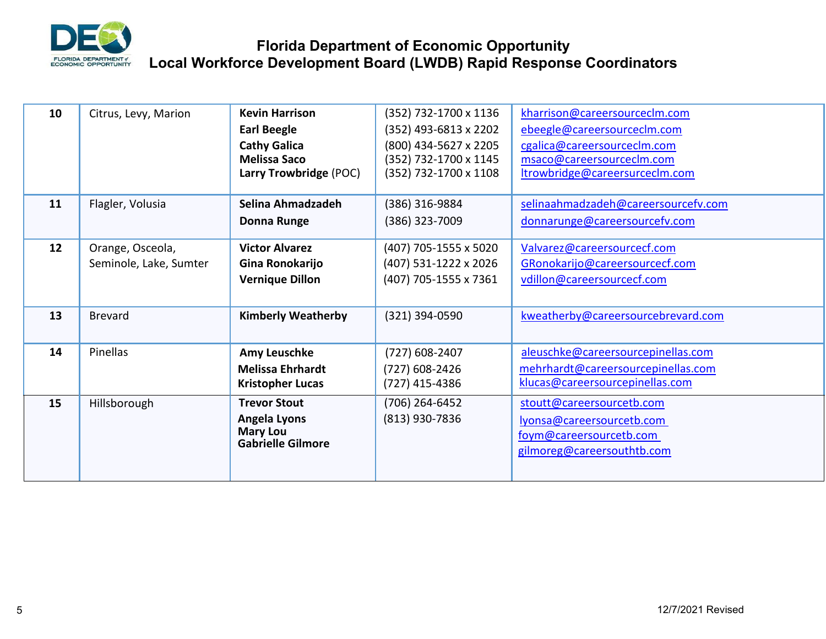

## **Florida Department of Economic Opportunity Local Workforce Development Board (LWDB) Rapid Response Coordinators**

| 10 | Citrus, Levy, Marion                       | <b>Kevin Harrison</b><br><b>Earl Beegle</b><br><b>Cathy Galica</b><br><b>Melissa Saco</b><br>Larry Trowbridge (POC) | (352) 732-1700 x 1136<br>(352) 493-6813 x 2202<br>(800) 434-5627 x 2205<br>(352) 732-1700 x 1145<br>(352) 732-1700 x 1108 | kharrison@careersourceclm.com<br>ebeegle@careersourceclm.com<br>cgalica@careersourceclm.com<br>msaco@careersourceclm.com<br>Itrowbridge@careersurceclm.com |
|----|--------------------------------------------|---------------------------------------------------------------------------------------------------------------------|---------------------------------------------------------------------------------------------------------------------------|------------------------------------------------------------------------------------------------------------------------------------------------------------|
| 11 | Flagler, Volusia                           | Selina Ahmadzadeh<br><b>Donna Runge</b>                                                                             | (386) 316-9884<br>(386) 323-7009                                                                                          | selinaahmadzadeh@careersourcefv.com<br>donnarunge@careersourcefv.com                                                                                       |
| 12 | Orange, Osceola,<br>Seminole, Lake, Sumter | <b>Victor Alvarez</b><br>Gina Ronokarijo<br><b>Vernique Dillon</b>                                                  | (407) 705-1555 x 5020<br>(407) 531-1222 x 2026<br>(407) 705-1555 x 7361                                                   | Valvarez@careersourcecf.com<br>GRonokarijo@careersourcecf.com<br>vdillon@careersourcecf.com                                                                |
| 13 | <b>Brevard</b>                             | <b>Kimberly Weatherby</b>                                                                                           | (321) 394-0590                                                                                                            | kweatherby@careersourcebrevard.com                                                                                                                         |
| 14 | Pinellas                                   | <b>Amy Leuschke</b><br><b>Melissa Ehrhardt</b><br><b>Kristopher Lucas</b>                                           | (727) 608-2407<br>(727) 608-2426<br>(727) 415-4386                                                                        | aleuschke@careersourcepinellas.com<br>mehrhardt@careersourcepinellas.com<br>klucas@careersourcepinellas.com                                                |
| 15 | Hillsborough                               | <b>Trevor Stout</b><br>Angela Lyons<br><b>Mary Lou</b><br><b>Gabrielle Gilmore</b>                                  | (706) 264-6452<br>(813) 930-7836                                                                                          | stoutt@careersourcetb.com<br>lyonsa@careersourcetb.com<br>foym@careersourcetb.com<br>gilmoreg@careersouthtb.com                                            |